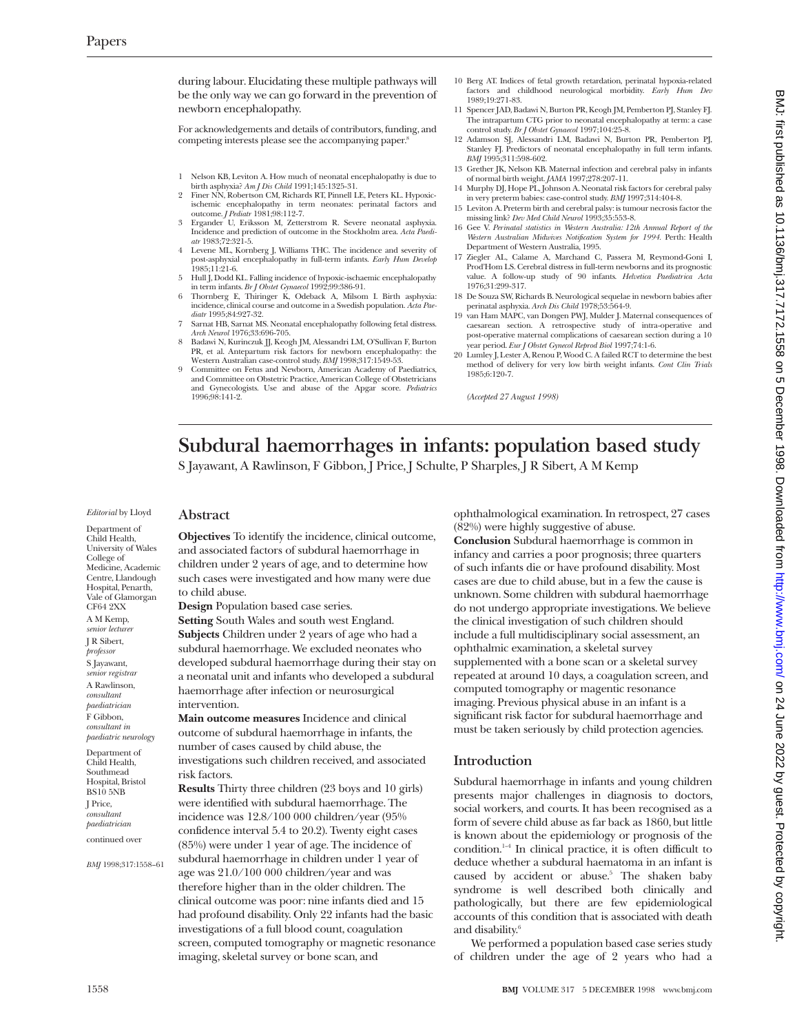during labour. Elucidating these multiple pathways will be the only way we can go forward in the prevention of newborn encephalopathy.

For acknowledgements and details of contributors, funding, and competing interests please see the accompanying paper.8

- 1 Nelson KB, Leviton A. How much of neonatal encephalopathy is due to birth asphyxia? *Am J Dis Child* 1991;145:1325-31.
- 2 Finer NN, Robertson CM, Richards RT, Pinnell LE, Peters KL. Hypoxicischemic encephalopathy in term neonates: perinatal factors and outcome. *J Pediatr* 1981;98:112-7.
- 3 Ergander U, Eriksson M, Zetterstrom R. Severe neonatal asphyxia. Incidence and prediction of outcome in the Stockholm area. *Acta Paediatr* 1983;72:321-5.
- 4 Levene ML, Kornberg J, Williams THC. The incidence and severity of post-asphyxial encephalopathy in full-term infants. *Early Hum Develop* 1985;11:21-6.
- 5 Hull J, Dodd KL. Falling incidence of hypoxic-ischaemic encephalopathy in term infants. *Br J Obstet Gynaecol* 1992;99:386-91.
- 6 Thornberg E, Thiringer K, Odeback A, Milsom I. Birth asphyxia: incidence, clinical course and outcome in a Swedish population. *Acta Paediatr* 1995;84:927-32.
- Sarnat HB, Sarnat MS. Neonatal encephalopathy following fetal distress. *Arch Neurol* 1976;33:696-705.
- 8 Badawi N, Kurinczuk JJ, Keogh JM, Alessandri LM, O'Sullivan F, Burton PR, et al. Antepartum risk factors for newborn encephalopathy: the Western Australian case-control study. *BMJ* 1998;317:1549-53.
- Committee on Fetus and Newborn, American Academy of Paediatrics, and Committee on Obstetric Practice, American College of Obstetricians and Gynecologists. Use and abuse of the Apgar score. *Pediatrics* 1996;98:141-2.
- 10 Berg AT. Indices of fetal growth retardation, perinatal hypoxia-related factors and childhood neurological morbidity. *Early Hum Dev* 1989;19:271-83.
- 11 Spencer JAD, Badawi N, Burton PR, Keogh JM, Pemberton PJ, Stanley FJ. The intrapartum CTG prior to neonatal encephalopathy at term: a case control study. *Br J Obstet Gynaecol* 1997;104:25-8.
- 12 Adamson SJ, Alessandri LM, Badawi N, Burton PR, Pemberton PJ, Stanley FJ. Predictors of neonatal encephalopathy in full term infants. *BMJ* 1995;311:598-602.
- 13 Grether JK, Nelson KB. Maternal infection and cerebral palsy in infants of normal birth weight. *JAMA* 1997;278:207-11.
- 14 Murphy DJ, Hope PL, Johnson A. Neonatal risk factors for cerebral palsy in very preterm babies: case-control study. *BMJ* 1997;314:404-8. 15 Leviton A. Preterm birth and cerebral palsy: is tumour necrosis factor the
- missing link? *Dev Med Child Neurol* 1993;35:553-8.
- 16 Gee V. *Perinatal statistics in Western Australia: 12th Annual Report of the Western Australian Midwives Notification System for 1994.* Perth: Health Department of Western Australia, 1995.
- 17 Ziegler AL, Calame A, Marchand C, Passera M, Reymond-Goni I, Prod'Hom LS. Cerebral distress in full-term newborns and its prognostic value. A follow-up study of 90 infants. *Helvetica Paediatrica Acta* 1976;31:299-317.
- 18 De Souza SW, Richards B. Neurological sequelae in newborn babies after perinatal asphyxia. *Arch Dis Child* 1978;53:564-9.
- 19 van Ham MAPC, van Dongen PWJ, Mulder J. Maternal consequences of caesarean section. A retrospective study of intra-operative and post-operative maternal complications of caesarean section during a 10 year period. *Eur J Obstet Gynecol Reprod Biol* 1997;74:1-6.
- 20 Lumley J, Lester A, Renou P, Wood C. A failed RCT to determine the best method of delivery for very low birth weight infants. *Cont Clin Trials* 1985;6:120-7.

*(Accepted 27 August 1998)*

# **Subdural haemorrhages in infants: population based study**

S Jayawant, A Rawlinson, F Gibbon, J Price, J Schulte, P Sharples, J R Sibert, A M Kemp

*Editorial* by Lloyd

Department of Child Health, University of Wales College of Medicine, Academic Centre, Llandough Hospital, Penarth, Vale of Glamorgan CF64 2XX A M Kemp, *senior lecturer* J R Sibert, *professor* S Jayawant, *senior registrar* A Rawlinson, *consultant paediatrician* F Gibbon, *consultant in paediatric neurology* Department of Child Health,

Southmead Hospital, Bristol BS10 5NB J Price, *consultant paediatrician*

continued over

*BMJ* 1998;317:1558–61

**Abstract**

**Objectives** To identify the incidence, clinical outcome, and associated factors of subdural haemorrhage in children under 2 years of age, and to determine how such cases were investigated and how many were due to child abuse.

**Design** Population based case series.

**Setting** South Wales and south west England. **Subjects** Children under 2 years of age who had a subdural haemorrhage. We excluded neonates who developed subdural haemorrhage during their stay on a neonatal unit and infants who developed a subdural haemorrhage after infection or neurosurgical intervention.

**Main outcome measures** Incidence and clinical outcome of subdural haemorrhage in infants, the number of cases caused by child abuse, the investigations such children received, and associated risk factors.

**Results** Thirty three children (23 boys and 10 girls) were identified with subdural haemorrhage. The incidence was 12.8/100 000 children/year (95% confidence interval 5.4 to 20.2). Twenty eight cases (85%) were under 1 year of age. The incidence of subdural haemorrhage in children under 1 year of age was 21.0/100 000 children/year and was therefore higher than in the older children. The clinical outcome was poor: nine infants died and 15 had profound disability. Only 22 infants had the basic investigations of a full blood count, coagulation screen, computed tomography or magnetic resonance imaging, skeletal survey or bone scan, and

ophthalmological examination. In retrospect, 27 cases (82%) were highly suggestive of abuse.

**Conclusion** Subdural haemorrhage is common in infancy and carries a poor prognosis; three quarters of such infants die or have profound disability. Most cases are due to child abuse, but in a few the cause is unknown. Some children with subdural haemorrhage do not undergo appropriate investigations. We believe the clinical investigation of such children should include a full multidisciplinary social assessment, an ophthalmic examination, a skeletal survey supplemented with a bone scan or a skeletal survey repeated at around 10 days, a coagulation screen, and computed tomography or magentic resonance imaging. Previous physical abuse in an infant is a significant risk factor for subdural haemorrhage and must be taken seriously by child protection agencies.

# **Introduction**

Subdural haemorrhage in infants and young children presents major challenges in diagnosis to doctors, social workers, and courts. It has been recognised as a form of severe child abuse as far back as 1860, but little is known about the epidemiology or prognosis of the condition. $1-4$  In clinical practice, it is often difficult to deduce whether a subdural haematoma in an infant is caused by accident or abuse.<sup>5</sup> The shaken baby syndrome is well described both clinically and pathologically, but there are few epidemiological accounts of this condition that is associated with death and disability.<sup>6</sup>

We performed a population based case series study of children under the age of 2 years who had a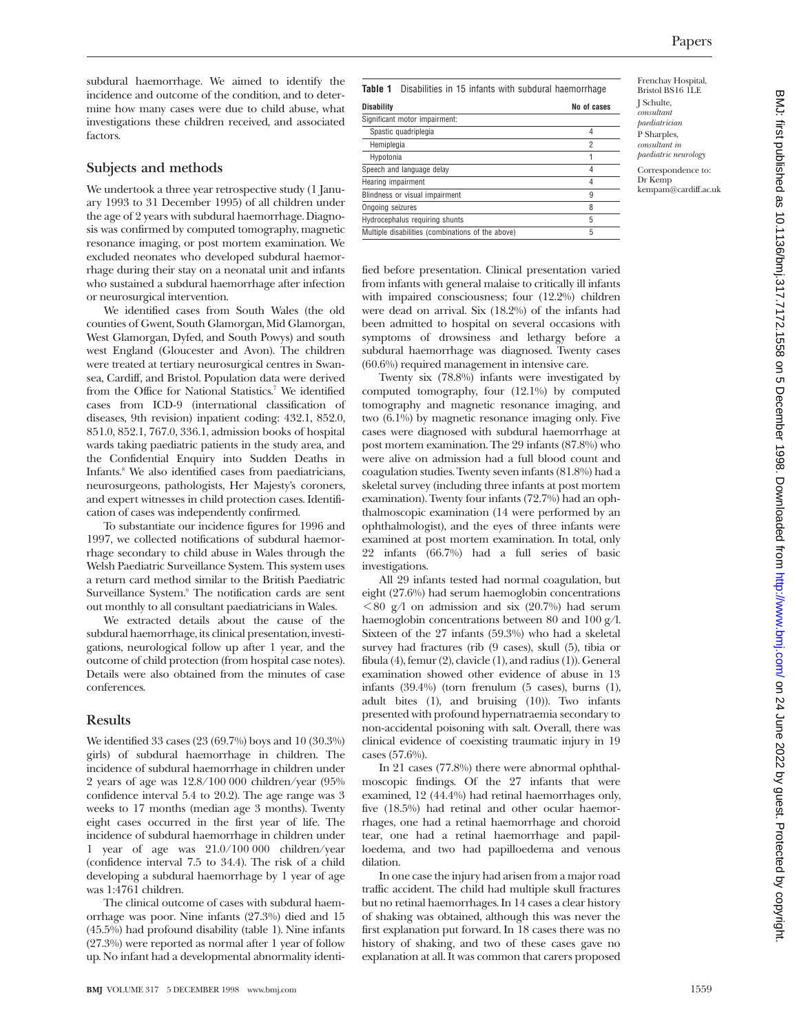Frenchay Hospital, Bristol BS16 1LE J Schulte, *consultant paediatrician* P Sharples, *consultant in paediatric neurology* Correspondence to: Dr Kemp kempam@cardiff.ac.uk

subdural haemorrhage. We aimed to identify the incidence and outcome of the condition, and to determine how many cases were due to child abuse, what investigations these children received, and associated factors.

## **Subjects and methods**

We undertook a three year retrospective study (1 January 1993 to 31 December 1995) of all children under the age of 2 years with subdural haemorrhage. Diagnosis was confirmed by computed tomography, magnetic resonance imaging, or post mortem examination. We excluded neonates who developed subdural haemorrhage during their stay on a neonatal unit and infants who sustained a subdural haemorrhage after infection or neurosurgical intervention.

We identified cases from South Wales (the old counties of Gwent, South Glamorgan, Mid Glamorgan, West Glamorgan, Dyfed, and South Powys) and south west England (Gloucester and Avon). The children were treated at tertiary neurosurgical centres in Swansea, Cardiff, and Bristol. Population data were derived from the Office for National Statistics.<sup>7</sup> We identified cases from ICD-9 (international classification of diseases, 9th revision) inpatient coding: 432.1, 852.0, 851.0, 852.1, 767.0, 336.1, admission books of hospital wards taking paediatric patients in the study area, and the Confidential Enquiry into Sudden Deaths in Infants.<sup>8</sup> We also identified cases from paediatricians, neurosurgeons, pathologists, Her Majesty's coroners, and expert witnesses in child protection cases. Identification of cases was independently confirmed.

To substantiate our incidence figures for 1996 and 1997, we collected notifications of subdural haemorrhage secondary to child abuse in Wales through the Welsh Paediatric Surveillance System. This system uses a return card method similar to the British Paediatric Surveillance System.<sup>9</sup> The notification cards are sent out monthly to all consultant paediatricians in Wales.

We extracted details about the cause of the subdural haemorrhage, its clinical presentation, investigations, neurological follow up after 1 year, and the outcome of child protection (from hospital case notes). Details were also obtained from the minutes of case conferences.

### **Results**

We identified 33 cases (23 (69.7%) boys and 10 (30.3%) girls) of subdural haemorrhage in children. The incidence of subdural haemorrhage in children under 2 years of age was 12.8/100 000 children/year (95% confidence interval 5.4 to 20.2). The age range was 3 weeks to 17 months (median age 3 months). Twenty eight cases occurred in the first year of life. The incidence of subdural haemorrhage in children under 1 year of age was 21.0/100 000 children/year (confidence interval 7.5 to 34.4). The risk of a child developing a subdural haemorrhage by 1 year of age was 1:4761 children.

The clinical outcome of cases with subdural haemorrhage was poor. Nine infants (27.3%) died and 15 (45.5%) had profound disability (table 1). Nine infants (27.3%) were reported as normal after 1 year of follow up. No infant had a developmental abnormality identi-

**Table 1** Disabilities in 15 infants with subdural haemorrhage

| <b>Disability</b>                                 | No of cases |
|---------------------------------------------------|-------------|
| Significant motor impairment:                     |             |
| Spastic quadriplegia                              |             |
| Hemiplegia                                        | 2           |
| Hypotonia                                         |             |
| Speech and language delay                         |             |
| Hearing impairment                                |             |
| Blindness or visual impairment                    | 9           |
| Ongoing seizures                                  | 8           |
| Hydrocephalus requiring shunts                    | 5           |
| Multiple disabilities (combinations of the above) | 5           |

fied before presentation. Clinical presentation varied from infants with general malaise to critically ill infants with impaired consciousness; four (12.2%) children were dead on arrival. Six (18.2%) of the infants had been admitted to hospital on several occasions with symptoms of drowsiness and lethargy before a subdural haemorrhage was diagnosed. Twenty cases

(60.6%) required management in intensive care. Twenty six (78.8%) infants were investigated by computed tomography, four (12.1%) by computed tomography and magnetic resonance imaging, and two (6.1%) by magnetic resonance imaging only. Five cases were diagnosed with subdural haemorrhage at post mortem examination. The 29 infants (87.8%) who were alive on admission had a full blood count and coagulation studies. Twenty seven infants (81.8%) had a skeletal survey (including three infants at post mortem examination). Twenty four infants (72.7%) had an ophthalmoscopic examination (14 were performed by an ophthalmologist), and the eyes of three infants were examined at post mortem examination. In total, only 22 infants (66.7%) had a full series of basic investigations.

All 29 infants tested had normal coagulation, but eight (27.6%) had serum haemoglobin concentrations  $\leq 80$  g/l on admission and six (20.7%) had serum haemoglobin concentrations between 80 and 100 g/l. Sixteen of the 27 infants (59.3%) who had a skeletal survey had fractures (rib (9 cases), skull (5), tibia or fibula (4), femur (2), clavicle (1), and radius (1)). General examination showed other evidence of abuse in 13 infants (39.4%) (torn frenulum (5 cases), burns (1), adult bites (1), and bruising (10)). Two infants presented with profound hypernatraemia secondary to non-accidental poisoning with salt. Overall, there was clinical evidence of coexisting traumatic injury in 19 cases (57.6%).

In 21 cases (77.8%) there were abnormal ophthalmoscopic findings. Of the 27 infants that were examined, 12 (44.4%) had retinal haemorrhages only, five (18.5%) had retinal and other ocular haemorrhages, one had a retinal haemorrhage and choroid tear, one had a retinal haemorrhage and papilloedema, and two had papilloedema and venous dilation.

In one case the injury had arisen from a major road traffic accident. The child had multiple skull fractures but no retinal haemorrhages. In 14 cases a clear history of shaking was obtained, although this was never the first explanation put forward. In 18 cases there was no history of shaking, and two of these cases gave no explanation at all. It was common that carers proposed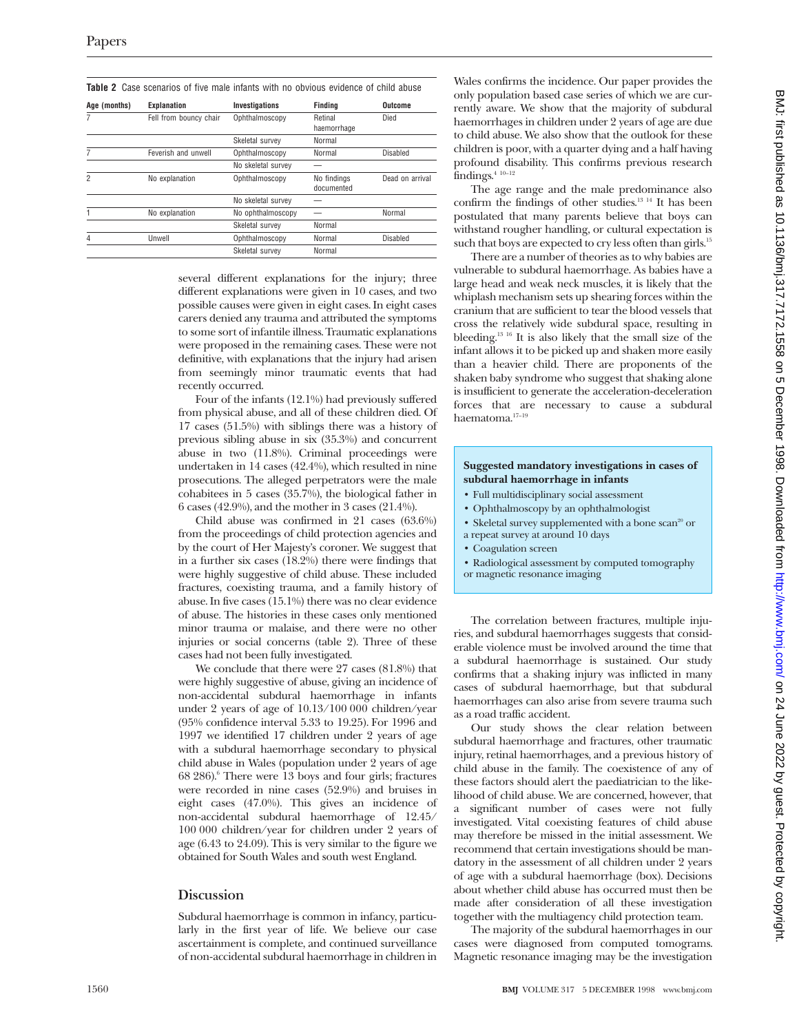| <b>Table 2</b> Case scenarios of five male infants with no obvious evidence of child abuse |  |  |  |
|--------------------------------------------------------------------------------------------|--|--|--|
|                                                                                            |  |  |  |

| Age (months) | Explanation            | <b>Investigations</b> | Findina                   | Outcome         |
|--------------|------------------------|-----------------------|---------------------------|-----------------|
| 7            | Fell from bouncy chair | Ophthalmoscopy        | Retinal<br>haemorrhage    | Died            |
|              |                        | Skeletal survev       | Normal                    |                 |
| 7            | Feverish and unwell    | Ophthalmoscopy        | Normal                    | Disabled        |
|              |                        | No skeletal survey    |                           |                 |
| 2            | No explanation         | Ophthalmoscopy        | No findings<br>documented | Dead on arrival |
|              |                        | No skeletal survey    |                           |                 |
|              | No explanation         | No ophthalmoscopy     |                           | Normal          |
|              |                        | Skeletal survey       | Normal                    |                 |
| 4            | Unwell                 | Ophthalmoscopy        | Normal                    | Disabled        |
|              |                        | Skeletal survey       | Normal                    |                 |
|              |                        |                       |                           |                 |

several different explanations for the injury; three different explanations were given in 10 cases, and two possible causes were given in eight cases. In eight cases carers denied any trauma and attributed the symptoms to some sort of infantile illness. Traumatic explanations were proposed in the remaining cases. These were not definitive, with explanations that the injury had arisen from seemingly minor traumatic events that had recently occurred.

Four of the infants (12.1%) had previously suffered from physical abuse, and all of these children died. Of 17 cases (51.5%) with siblings there was a history of previous sibling abuse in six (35.3%) and concurrent abuse in two (11.8%). Criminal proceedings were undertaken in 14 cases (42.4%), which resulted in nine prosecutions. The alleged perpetrators were the male cohabitees in 5 cases  $(35.7%)$ , the biological father in 6 cases (42.9%), and the mother in 3 cases (21.4%).

Child abuse was confirmed in 21 cases (63.6%) from the proceedings of child protection agencies and by the court of Her Majesty's coroner. We suggest that in a further six cases (18.2%) there were findings that were highly suggestive of child abuse. These included fractures, coexisting trauma, and a family history of abuse. In five cases (15.1%) there was no clear evidence of abuse. The histories in these cases only mentioned minor trauma or malaise, and there were no other injuries or social concerns (table 2). Three of these cases had not been fully investigated.

We conclude that there were 27 cases (81.8%) that were highly suggestive of abuse, giving an incidence of non-accidental subdural haemorrhage in infants under 2 years of age of 10.13/100 000 children/year (95% confidence interval 5.33 to 19.25). For 1996 and 1997 we identified 17 children under 2 years of age with a subdural haemorrhage secondary to physical child abuse in Wales (population under 2 years of age 68 286).6 There were 13 boys and four girls; fractures were recorded in nine cases (52.9%) and bruises in eight cases (47.0%). This gives an incidence of non-accidental subdural haemorrhage of 12.45/ 100 000 children/year for children under 2 years of age (6.43 to 24.09). This is very similar to the figure we obtained for South Wales and south west England.

# **Discussion**

Subdural haemorrhage is common in infancy, particularly in the first year of life. We believe our case ascertainment is complete, and continued surveillance of non-accidental subdural haemorrhage in children in

Wales confirms the incidence. Our paper provides the only population based case series of which we are currently aware. We show that the majority of subdural haemorrhages in children under 2 years of age are due to child abuse. We also show that the outlook for these children is poor, with a quarter dying and a half having profound disability. This confirms previous research findings.4 10–12

The age range and the male predominance also confirm the findings of other studies.13 14 It has been postulated that many parents believe that boys can withstand rougher handling, or cultural expectation is such that boys are expected to cry less often than girls.<sup>15</sup>

There are a number of theories as to why babies are vulnerable to subdural haemorrhage. As babies have a large head and weak neck muscles, it is likely that the whiplash mechanism sets up shearing forces within the cranium that are sufficient to tear the blood vessels that cross the relatively wide subdural space, resulting in bleeding.<sup>13 16</sup> It is also likely that the small size of the infant allows it to be picked up and shaken more easily than a heavier child. There are proponents of the shaken baby syndrome who suggest that shaking alone is insufficient to generate the acceleration-deceleration forces that are necessary to cause a subdural haematoma.17–19

#### **Suggested mandatory investigations in cases of subdural haemorrhage in infants**

- Full multidisciplinary social assessment
- Ophthalmoscopy by an ophthalmologist
- Skeletal survey supplemented with a bone scan<sup>20</sup> or
- a repeat survey at around 10 days
- Coagulation screen
- Radiological assessment by computed tomography
- or magnetic resonance imaging

The correlation between fractures, multiple injuries, and subdural haemorrhages suggests that considerable violence must be involved around the time that a subdural haemorrhage is sustained. Our study confirms that a shaking injury was inflicted in many cases of subdural haemorrhage, but that subdural haemorrhages can also arise from severe trauma such as a road traffic accident.

Our study shows the clear relation between subdural haemorrhage and fractures, other traumatic injury, retinal haemorrhages, and a previous history of child abuse in the family. The coexistence of any of these factors should alert the paediatrician to the likelihood of child abuse. We are concerned, however, that a significant number of cases were not fully investigated. Vital coexisting features of child abuse may therefore be missed in the initial assessment. We recommend that certain investigations should be mandatory in the assessment of all children under 2 years of age with a subdural haemorrhage (box). Decisions about whether child abuse has occurred must then be made after consideration of all these investigation together with the multiagency child protection team.

The majority of the subdural haemorrhages in our cases were diagnosed from computed tomograms. Magnetic resonance imaging may be the investigation